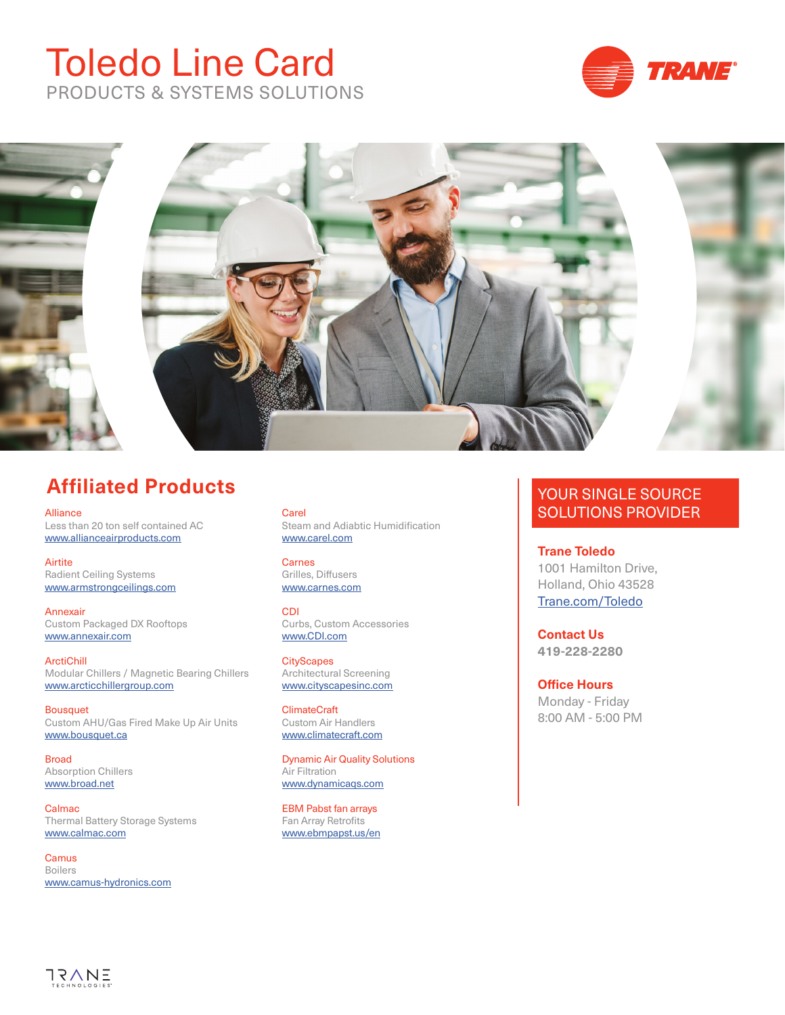# Toledo Line Card PRODUCTS & SYSTEMS SOLUTIONS





# **Affiliated Products**

Alliance Less than 20 ton self contained AC www.allianceairproducts.com

Airtite Radient Ceiling Systems [www.armstrongceilings.com](https://www.armstrongceilings.com/)

Annexair Custom Packaged DX Rooftops [www.annexair.com](http://www.annexair.com/)

ArctiChill Modular Chillers / Magnetic Bearing Chillers [www.arcticchillergroup.com](https://www.arcticchillergroup.com/)

Bousquet Custom AHU/Gas Fired Make Up Air Units [www.bousquet.ca](http://www.bousquet.ca/)

Broad Absorption Chillers [www.br](https://www.broadusa.net/en/)oad.net

Calmac Thermal Battery Storage Systems [www.calmac.com](http://www.calmac.com/)

**Camus** Boilers [www.c](http://camus-hydronics.com/)amus-hydronics.com

## Carel

Steam and Adiabtic Humidification [www.carel.com](https://www.carel.com/)

**Carnes** Grilles, Diffusers [www.ca](https://www.carnes.com/)rnes.com

CDI Curbs, Custom Accessories [www.C](https://www.cdicurbs.com/)DI.com

**CityScapes** Architectural Screening [www.cityscapesinc.com](https://cityscapesinc.com/)

ClimateCraft Custom Air Handlers [www.climatecraft.com](https://www.climatecraft.com/)

Dynamic Air Quality Solutions Air Filtration [www.d](https://www.dynamicaqs.com/air-cleaners/)ynamicaqs.com

EBM Pabst fan arrays Fan Array Retrofits [www.ebmpapst.us/en](https://www.ebmpapst.us/en/)

#### YOUR SINGLE SOURCE SOLUTIONS PROVIDER

**Trane Toledo** 1001 Hamilton Drive, Holland, Ohio 43528 [Trane.com/](https://www.trane.com/commercial/north-america/us/en/contact-us/locate-sales-offices/toledo.html)Toledo

**Contact Us 419-228-2280**

**Office Hours** Monday - Friday 8:00 AM - 5:00 PM